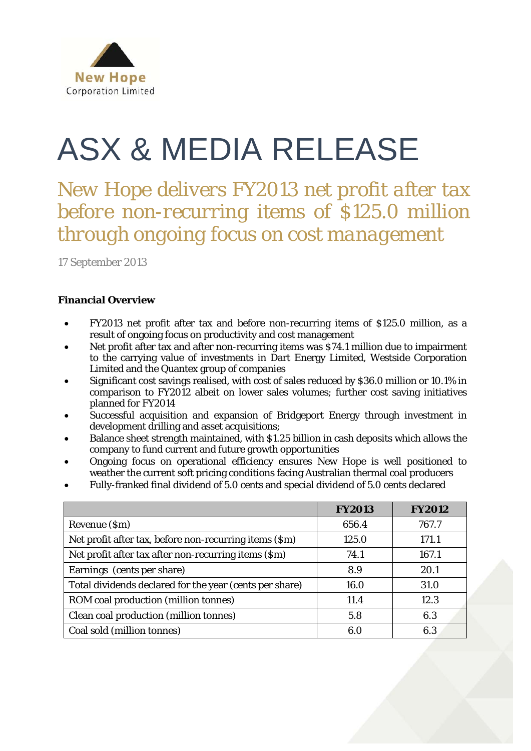

# ASX & MEDIA RELEASE

*New Hope delivers FY2013 net profit after tax before non-recurring items of \$125.0 million through ongoing focus on cost management*

17 September 2013

# **Financial Overview**

- FY2013 net profit after tax and before non-recurring items of \$125.0 million, as a result of ongoing focus on productivity and cost management
- Net profit after tax and after non-recurring items was \$74.1 million due to impairment to the carrying value of investments in Dart Energy Limited, Westside Corporation Limited and the Quantex group of companies
- Significant cost savings realised, with cost of sales reduced by \$36.0 million or 10.1% in comparison to FY2012 albeit on lower sales volumes; further cost saving initiatives planned for FY2014
- Successful acquisition and expansion of Bridgeport Energy through investment in development drilling and asset acquisitions;
- Balance sheet strength maintained, with \$1.25 billion in cash deposits which allows the company to fund current and future growth opportunities
- Ongoing focus on operational efficiency ensures New Hope is well positioned to weather the current soft pricing conditions facing Australian thermal coal producers
- Fully-franked final dividend of 5.0 cents and special dividend of 5.0 cents declared

|                                                         | <b>FY2013</b> | <b>FY2012</b> |
|---------------------------------------------------------|---------------|---------------|
| Revenue (\$m)                                           | 656.4         | 767.7         |
| Net profit after tax, before non-recurring items (\$m)  | 125.0         | 171.1         |
| Net profit after tax after non-recurring items (\$m)    | 74.1          | 167.1         |
| Earnings (cents per share)                              | 8.9           | 20.1          |
| Total dividends declared for the year (cents per share) | 16.0          | 31.0          |
| ROM coal production (million tonnes)                    | 11.4          | 12.3          |
| Clean coal production (million tonnes)                  | 5.8           | 6.3           |
| Coal sold (million tonnes)                              | 6.0           | 6.3           |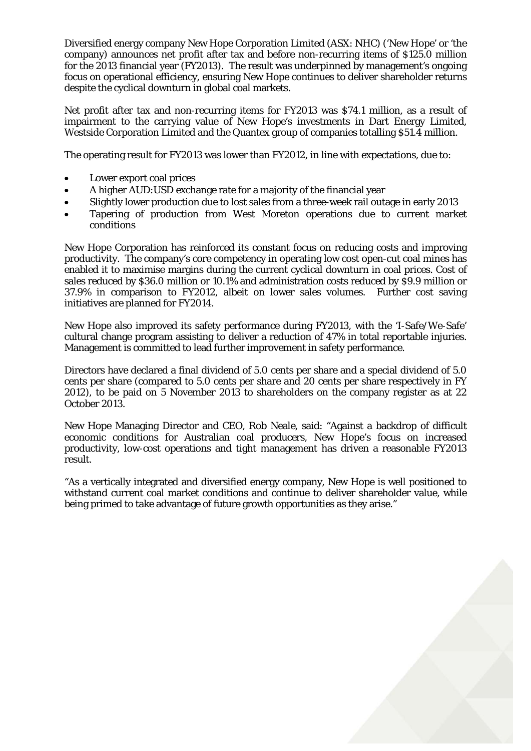Diversified energy company New Hope Corporation Limited (ASX: NHC) ('New Hope' or 'the company) announces net profit after tax and before non-recurring items of \$125.0 million for the 2013 financial year (FY2013). The result was underpinned by management's ongoing focus on operational efficiency, ensuring New Hope continues to deliver shareholder returns despite the cyclical downturn in global coal markets.

Net profit after tax and non-recurring items for FY2013 was \$74.1 million, as a result of impairment to the carrying value of New Hope's investments in Dart Energy Limited, Westside Corporation Limited and the Quantex group of companies totalling \$51.4 million.

The operating result for FY2013 was lower than FY2012, in line with expectations, due to:

- Lower export coal prices
- A higher AUD:USD exchange rate for a majority of the financial year
- Slightly lower production due to lost sales from a three-week rail outage in early 2013
- Tapering of production from West Moreton operations due to current market conditions

New Hope Corporation has reinforced its constant focus on reducing costs and improving productivity. The company's core competency in operating low cost open-cut coal mines has enabled it to maximise margins during the current cyclical downturn in coal prices. Cost of sales reduced by \$36.0 million or 10.1% and administration costs reduced by \$9.9 million or 37.9% in comparison to FY2012, albeit on lower sales volumes. Further cost saving initiatives are planned for FY2014.

New Hope also improved its safety performance during FY2013, with the 'I-Safe/We-Safe' cultural change program assisting to deliver a reduction of 47% in total reportable injuries. Management is committed to lead further improvement in safety performance.

Directors have declared a final dividend of 5.0 cents per share and a special dividend of 5.0 cents per share (compared to 5.0 cents per share and 20 cents per share respectively in FY 2012), to be paid on 5 November 2013 to shareholders on the company register as at 22 October 2013.

New Hope Managing Director and CEO, Rob Neale, said: "Against a backdrop of difficult economic conditions for Australian coal producers, New Hope's focus on increased productivity, low-cost operations and tight management has driven a reasonable FY2013 result.

"As a vertically integrated and diversified energy company, New Hope is well positioned to withstand current coal market conditions and continue to deliver shareholder value, while being primed to take advantage of future growth opportunities as they arise."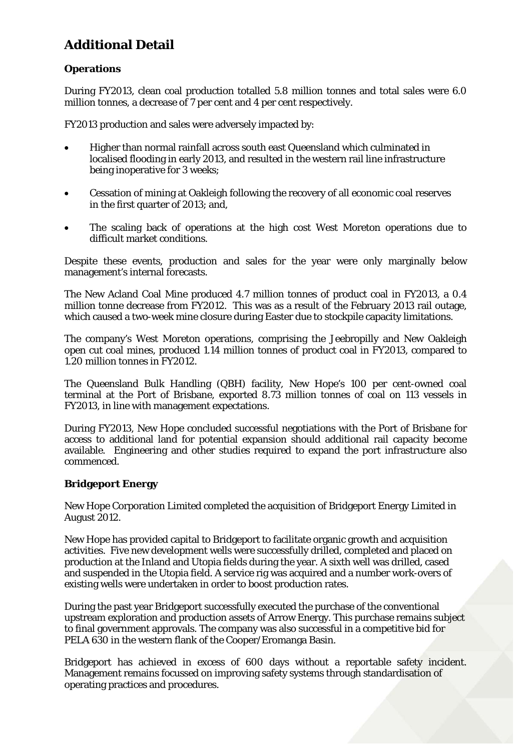# **Additional Detail**

# **Operations**

During FY2013, clean coal production totalled 5.8 million tonnes and total sales were 6.0 million tonnes, a decrease of 7 per cent and 4 per cent respectively.

FY2013 production and sales were adversely impacted by:

- Higher than normal rainfall across south east Queensland which culminated in localised flooding in early 2013, and resulted in the western rail line infrastructure being inoperative for 3 weeks;
- Cessation of mining at Oakleigh following the recovery of all economic coal reserves in the first quarter of 2013; and,
- The scaling back of operations at the high cost West Moreton operations due to difficult market conditions.

Despite these events, production and sales for the year were only marginally below management's internal forecasts.

The New Acland Coal Mine produced 4.7 million tonnes of product coal in FY2013, a 0.4 million tonne decrease from FY2012. This was as a result of the February 2013 rail outage, which caused a two-week mine closure during Easter due to stockpile capacity limitations.

The company's West Moreton operations, comprising the Jeebropilly and New Oakleigh open cut coal mines, produced 1.14 million tonnes of product coal in FY2013, compared to 1.20 million tonnes in FY2012.

The Queensland Bulk Handling (QBH) facility, New Hope's 100 per cent-owned coal terminal at the Port of Brisbane, exported 8.73 million tonnes of coal on 113 vessels in FY2013, in line with management expectations.

During FY2013, New Hope concluded successful negotiations with the Port of Brisbane for access to additional land for potential expansion should additional rail capacity become available. Engineering and other studies required to expand the port infrastructure also commenced.

# **Bridgeport Energy**

New Hope Corporation Limited completed the acquisition of Bridgeport Energy Limited in August 2012.

New Hope has provided capital to Bridgeport to facilitate organic growth and acquisition activities. Five new development wells were successfully drilled, completed and placed on production at the Inland and Utopia fields during the year. A sixth well was drilled, cased and suspended in the Utopia field. A service rig was acquired and a number work-overs of existing wells were undertaken in order to boost production rates.

During the past year Bridgeport successfully executed the purchase of the conventional upstream exploration and production assets of Arrow Energy. This purchase remains subject to final government approvals. The company was also successful in a competitive bid for PELA 630 in the western flank of the Cooper/Eromanga Basin.

Bridgeport has achieved in excess of 600 days without a reportable safety incident. Management remains focussed on improving safety systems through standardisation of operating practices and procedures.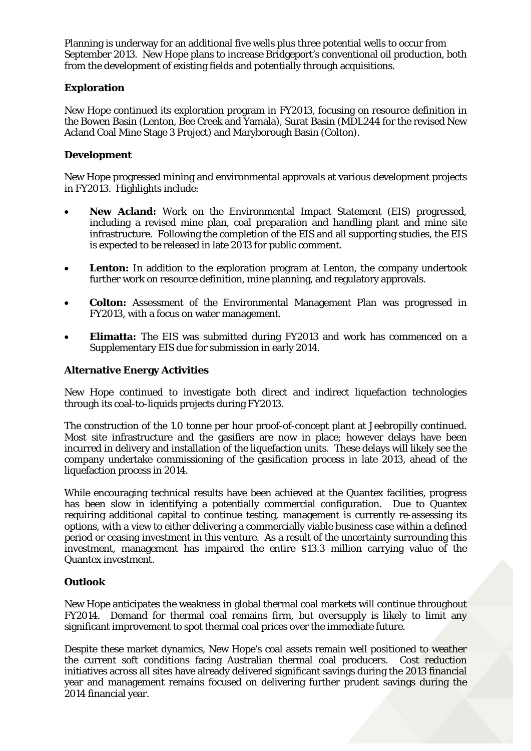Planning is underway for an additional five wells plus three potential wells to occur from September 2013. New Hope plans to increase Bridgeport's conventional oil production, both from the development of existing fields and potentially through acquisitions.

### **Exploration**

New Hope continued its exploration program in FY2013, focusing on resource definition in the Bowen Basin (Lenton, Bee Creek and Yamala), Surat Basin (MDL244 for the revised New Acland Coal Mine Stage 3 Project) and Maryborough Basin (Colton).

### **Development**

New Hope progressed mining and environmental approvals at various development projects in FY2013. Highlights include:

- **New Acland:** Work on the Environmental Impact Statement (EIS) progressed, including a revised mine plan, coal preparation and handling plant and mine site infrastructure. Following the completion of the EIS and all supporting studies, the EIS is expected to be released in late 2013 for public comment.
- **Lenton:** In addition to the exploration program at Lenton, the company undertook further work on resource definition, mine planning, and regulatory approvals.
- **Colton:** Assessment of the Environmental Management Plan was progressed in FY2013, with a focus on water management.
- **Elimatta:** The EIS was submitted during FY2013 and work has commenced on a Supplementary EIS due for submission in early 2014.

### **Alternative Energy Activities**

New Hope continued to investigate both direct and indirect liquefaction technologies through its coal-to-liquids projects during FY2013.

The construction of the 1.0 tonne per hour proof-of-concept plant at Jeebropilly continued. Most site infrastructure and the gasifiers are now in place; however delays have been incurred in delivery and installation of the liquefaction units. These delays will likely see the company undertake commissioning of the gasification process in late 2013, ahead of the liquefaction process in 2014.

While encouraging technical results have been achieved at the Quantex facilities, progress has been slow in identifying a potentially commercial configuration. Due to Quantex requiring additional capital to continue testing, management is currently re-assessing its options, with a view to either delivering a commercially viable business case within a defined period or ceasing investment in this venture. As a result of the uncertainty surrounding this investment, management has impaired the entire \$13.3 million carrying value of the Quantex investment.

#### **Outlook**

New Hope anticipates the weakness in global thermal coal markets will continue throughout FY2014. Demand for thermal coal remains firm, but oversupply is likely to limit any significant improvement to spot thermal coal prices over the immediate future.

Despite these market dynamics, New Hope's coal assets remain well positioned to weather the current soft conditions facing Australian thermal coal producers. Cost reduction initiatives across all sites have already delivered significant savings during the 2013 financial year and management remains focused on delivering further prudent savings during the 2014 financial year.